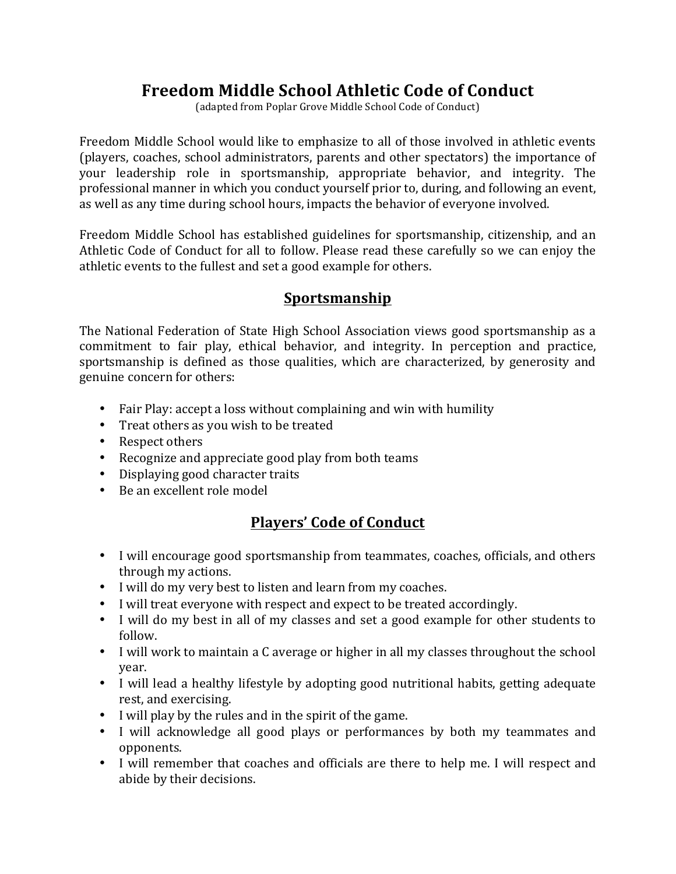# **Freedom Middle School Athletic Code of Conduct**

(adapted from Poplar Grove Middle School Code of Conduct)

Freedom Middle School would like to emphasize to all of those involved in athletic events (players, coaches, school administrators, parents and other spectators) the importance of your leadership role in sportsmanship, appropriate behavior, and integrity. The professional manner in which you conduct yourself prior to, during, and following an event, as well as any time during school hours, impacts the behavior of everyone involved.

Freedom Middle School has established guidelines for sportsmanship, citizenship, and an Athletic Code of Conduct for all to follow. Please read these carefully so we can enjoy the athletic events to the fullest and set a good example for others.

## **Sportsmanship**

The National Federation of State High School Association views good sportsmanship as a commitment to fair play, ethical behavior, and integrity. In perception and practice, sportsmanship is defined as those qualities, which are characterized, by generosity and genuine concern for others:

- Fair Play: accept a loss without complaining and win with humility
- Treat others as you wish to be treated
- Respect others
- Recognize and appreciate good play from both teams
- Displaying good character traits
- Be an excellent role model

## **Players' Code of Conduct**

- I will encourage good sportsmanship from teammates, coaches, officials, and others through my actions.
- I will do my very best to listen and learn from my coaches.
- I will treat everyone with respect and expect to be treated accordingly.
- I will do my best in all of my classes and set a good example for other students to follow.
- I will work to maintain a C average or higher in all my classes throughout the school year.
- I will lead a healthy lifestyle by adopting good nutritional habits, getting adequate rest, and exercising.
- I will play by the rules and in the spirit of the game.
- I will acknowledge all good plays or performances by both my teammates and opponents.
- I will remember that coaches and officials are there to help me. I will respect and abide by their decisions.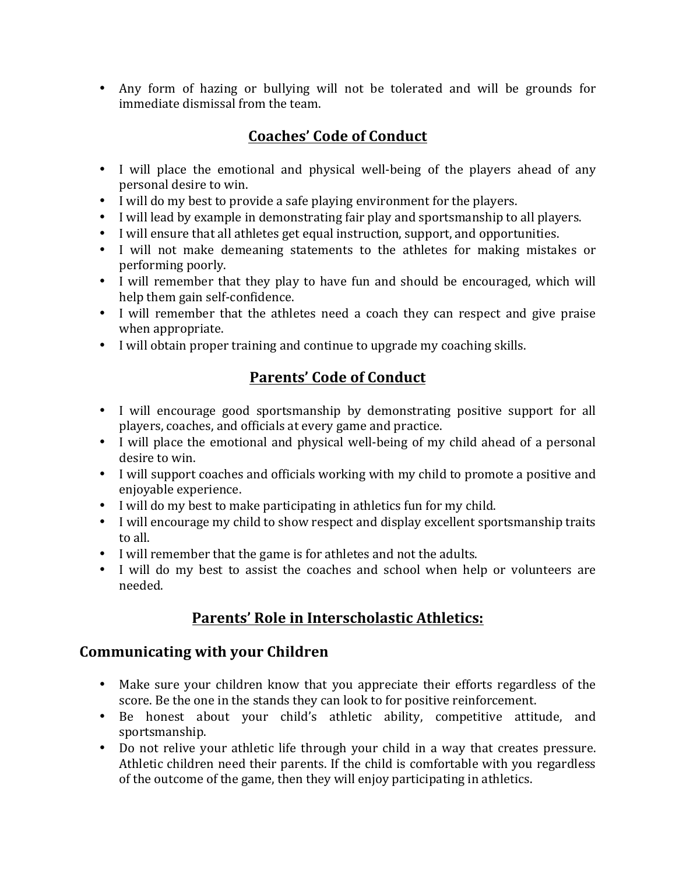• Any form of hazing or bullying will not be tolerated and will be grounds for immediate dismissal from the team.

## **Coaches' Code of Conduct**

- I will place the emotional and physical well-being of the players ahead of any personal desire to win.
- I will do my best to provide a safe playing environment for the players.
- I will lead by example in demonstrating fair play and sportsmanship to all players.
- I will ensure that all athletes get equal instruction, support, and opportunities.
- I will not make demeaning statements to the athletes for making mistakes or performing poorly.
- I will remember that they play to have fun and should be encouraged, which will help them gain self-confidence.
- I will remember that the athletes need a coach they can respect and give praise when appropriate.
- I will obtain proper training and continue to upgrade my coaching skills.

# **Parents' Code of Conduct**

- I will encourage good sportsmanship by demonstrating positive support for all players, coaches, and officials at every game and practice.
- I will place the emotional and physical well-being of my child ahead of a personal desire to win.
- I will support coaches and officials working with my child to promote a positive and enjoyable experience.
- I will do my best to make participating in athletics fun for my child.
- I will encourage my child to show respect and display excellent sportsmanship traits to all.
- I will remember that the game is for athletes and not the adults.
- I will do my best to assist the coaches and school when help or volunteers are needed.

## Parents' Role in Interscholastic Athletics:

#### **Communicating with your Children**

- Make sure your children know that you appreciate their efforts regardless of the score. Be the one in the stands they can look to for positive reinforcement.
- Be honest about your child's athletic ability, competitive attitude, and sportsmanship.
- Do not relive your athletic life through your child in a way that creates pressure. Athletic children need their parents. If the child is comfortable with you regardless of the outcome of the game, then they will enjoy participating in athletics.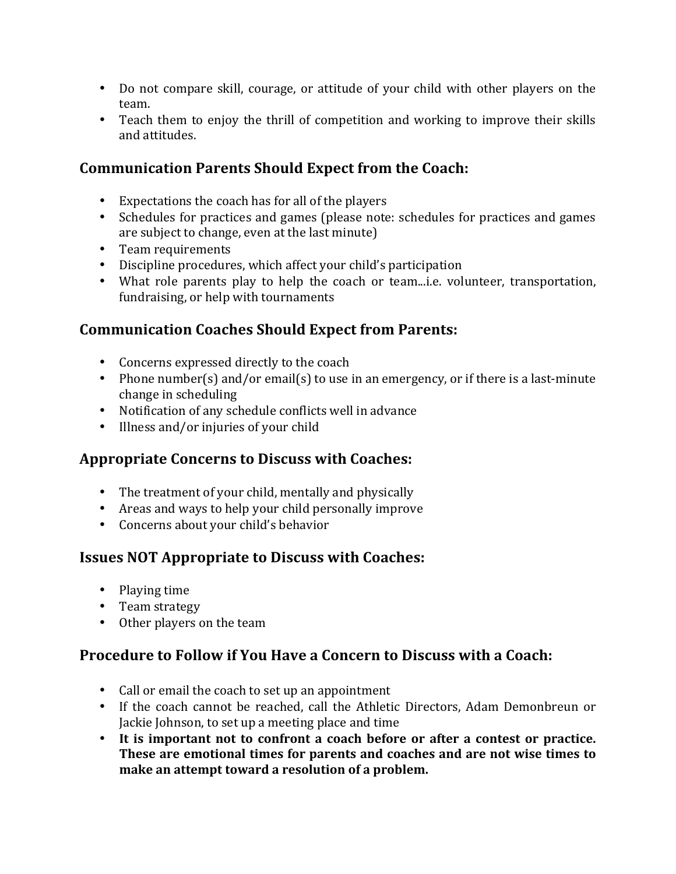- Do not compare skill, courage, or attitude of your child with other players on the team.
- Teach them to enjoy the thrill of competition and working to improve their skills and attitudes.

## **Communication Parents Should Expect from the Coach:**

- Expectations the coach has for all of the players
- Schedules for practices and games (please note: schedules for practices and games are subject to change, even at the last minute)
- Team requirements
- Discipline procedures, which affect your child's participation
- What role parents play to help the coach or team...i.e. volunteer, transportation, fundraising, or help with tournaments

## **Communication Coaches Should Expect from Parents:**

- Concerns expressed directly to the coach
- Phone number(s) and/or email(s) to use in an emergency, or if there is a last-minute change in scheduling
- Notification of any schedule conflicts well in advance
- Illness and/or injuries of your child

## **Appropriate Concerns to Discuss with Coaches:**

- The treatment of your child, mentally and physically
- Areas and ways to help your child personally improve
- Concerns about your child's behavior

## **Issues NOT Appropriate to Discuss with Coaches:**

- Playing time
- Team strategy
- Other players on the team

## **Procedure to Follow if You Have a Concern to Discuss with a Coach:**

- Call or email the coach to set up an appointment
- If the coach cannot be reached, call the Athletic Directors, Adam Demonbreun or Jackie Johnson, to set up a meeting place and time
- It is important not to confront a coach before or after a contest or practice. **These are emotional times for parents and coaches and are not wise times to make an attempt toward a resolution of a problem.**